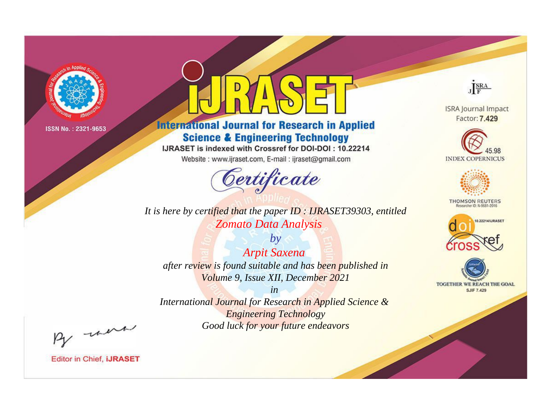

# **International Journal for Research in Applied Science & Engineering Technology**

IJRASET is indexed with Crossref for DOI-DOI: 10.22214

Website: www.ijraset.com, E-mail: ijraset@gmail.com



**INDEX COPERNICUS** 

JERA

**ISRA Journal Impact** Factor: 7.429



**THOMSON REUTERS** 



TOGETHER WE REACH THE GOAL **SJIF 7.429** 

*It is here by certified that the paper ID : IJRASET39303, entitled Zomato Data Analysis*

*by Arpit Saxena after review is found suitable and has been published in Volume 9, Issue XII, December 2021*

*in* 

*International Journal for Research in Applied Science & Engineering Technology Good luck for your future endeavors*

By morn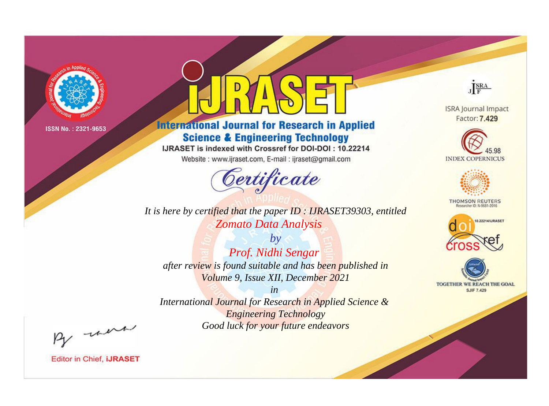

# **International Journal for Research in Applied Science & Engineering Technology**

IJRASET is indexed with Crossref for DOI-DOI: 10.22214

Website: www.ijraset.com, E-mail: ijraset@gmail.com



JERA **ISRA Journal Impact** 

Factor: 7.429





**THOMSON REUTERS** 



TOGETHER WE REACH THE GOAL **SJIF 7.429** 

It is here by certified that the paper ID: IJRASET39303, entitled Zomato Data Analysis

 $by$ Prof. Nidhi Sengar after review is found suitable and has been published in Volume 9, Issue XII, December 2021

 $in$ International Journal for Research in Applied Science & **Engineering Technology** Good luck for your future endeavors

By morn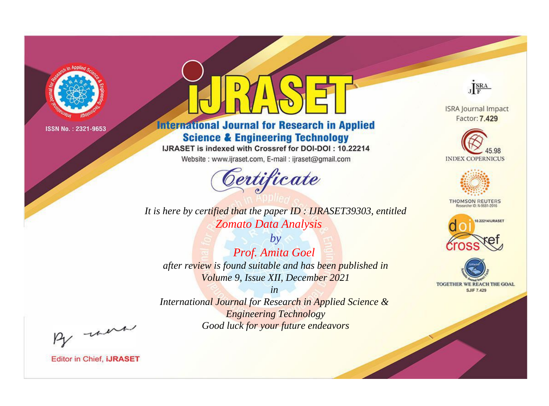

# **International Journal for Research in Applied Science & Engineering Technology**

IJRASET is indexed with Crossref for DOI-DOI: 10.22214

Website: www.ijraset.com, E-mail: ijraset@gmail.com



**ISRA Journal Impact** Factor: 7.429

JERA





**THOMSON REUTERS** 



TOGETHER WE REACH THE GOAL **SJIF 7.429** 

It is here by certified that the paper ID: IJRASET39303, entitled Zomato Data Analysis

 $by$ Prof. Amita Goel after review is found suitable and has been published in Volume 9, Issue XII, December 2021

 $in$ International Journal for Research in Applied Science & **Engineering Technology** Good luck for your future endeavors

By morn